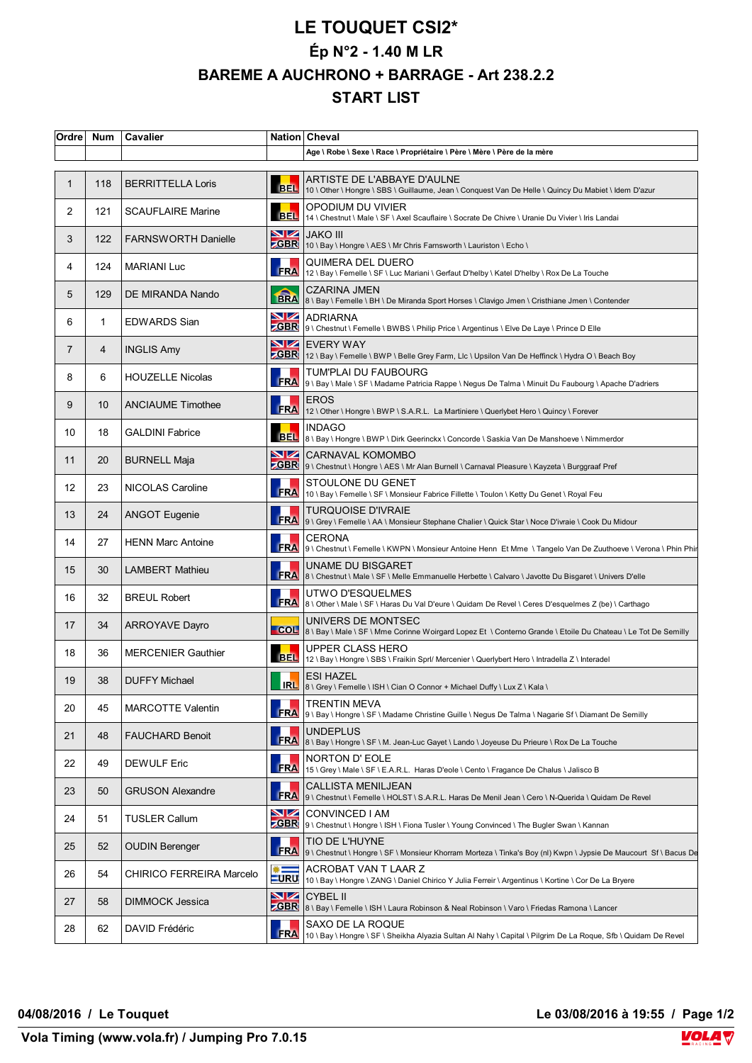## **LE TOUQUET CSI2\* Ép N°2 - 1.40 M LR BAREME A AUCHRONO + BARRAGE - Art 238.2.2 START LIST**

| Ordre             | <b>Num</b>   | Cavalier                   |                                     | Nation Cheval                                                                                                                           |
|-------------------|--------------|----------------------------|-------------------------------------|-----------------------------------------------------------------------------------------------------------------------------------------|
|                   |              |                            |                                     | Age \ Robe \ Sexe \ Race \ Propriétaire \ Père \ Mère \ Père de la mère                                                                 |
| $\mathbf{1}$      | 118          | <b>BERRITTELLA Loris</b>   | <b>BEL</b>                          | ARTISTE DE L'ABBAYE D'AULNE<br>10 \ Other \ Hongre \ SBS \ Guillaume, Jean \ Conquest Van De Helle \ Quincy Du Mabiet \ Idem D'azur     |
| 2                 | 121          | <b>SCAUFLAIRE Marine</b>   | <b>BEL</b>                          | OPODIUM DU VIVIER<br>14 \ Chestnut \ Male \ SF \ Axel Scauflaire \ Socrate De Chivre \ Uranie Du Vivier \ Iris Landai                   |
| 3                 | 122          | <b>FARNSWORTH Danielle</b> | NZ                                  | <b>JAKO III</b><br>ZGBR 10 \ Bay \ Hongre \ AES \ Mr Chris Farnsworth \ Lauriston \ Echo \                                              |
| 4                 | 124          | <b>MARIANI Luc</b>         | <b>FRA</b>                          | QUIMERA DEL DUERO<br>12 \ Bay \ Femelle \ SF \ Luc Mariani \ Gerfaut D'helby \ Katel D'helby \ Rox De La Touche                         |
| 5                 | 129          | DE MIRANDA Nando           |                                     | <b>CZARINA JMEN</b><br>BRA 8\Bay\Femelle\BH\De Miranda Sport Horses\Clavigo Jmen\Cristhiane Jmen\Contender                              |
| 6                 | $\mathbf{1}$ | <b>EDWARDS Sian</b>        | VZ                                  | ADRIARNA<br>CBR 9 \ Chestnut \ Femelle \ BWBS \ Philip Price \ Argentinus \ Elve De Laye \ Prince D Elle                                |
| 7                 | 4            | <b>INGLIS Amy</b>          | $\blacksquare$                      | <b>EVERY WAY</b><br>ZGBR 12 \ Bay \ Femelle \ BWP \ Belle Grey Farm, Llc \ Upsilon Van De Heffinck \ Hydra O \ Beach Boy                |
| 8                 | 6            | <b>HOUZELLE Nicolas</b>    |                                     | TUM'PLAI DU FAUBOURG<br>FRA 9 \ Bay \ Male \ SF \ Madame Patricia Rappe \ Negus De Talma \ Minuit Du Faubourg \ Apache D'adriers        |
| 9                 | 10           | <b>ANCIAUME Timothee</b>   | <b>FRA</b>                          | <b>EROS</b><br>12 \ Other \ Hongre \ BWP \ S.A.R.L. La Martiniere \ Querlybet Hero \ Quincy \ Forever                                   |
| 10                | 18           | <b>GALDINI Fabrice</b>     |                                     | <b>INDAGO</b><br>BEL 8 \ Bay \ Hongre \ BWP \ Dirk Geerinckx \ Concorde \ Saskia Van De Manshoeve \ Nimmerdor                           |
| 11                | 20           | <b>BURNELL Maja</b>        | VZ                                  | CARNAVAL KOMOMBO<br>ZGBR 9 \ Chestnut \ Hongre \ AES \ Mr Alan Burnell \ Carnaval Pleasure \ Kayzeta \ Burggraaf Pref                   |
| $12 \overline{ }$ | 23           | NICOLAS Caroline           | FRA                                 | STOULONE DU GENET<br>10 \ Bay \ Femelle \ SF \ Monsieur Fabrice Fillette \ Toulon \ Ketty Du Genet \ Royal Feu                          |
| 13                | 24           | <b>ANGOT Eugenie</b>       | <b>FRA</b>                          | TURQUOISE D'IVRAIE<br>9 \ Grey \ Femelle \ AA \ Monsieur Stephane Chalier \ Quick Star \ Noce D'ivraie \ Cook Du Midour                 |
| 14                | 27           | <b>HENN Marc Antoine</b>   |                                     | <b>CERONA</b><br>FRA 9 \ Chestnut \ Femelle \ KWPN \ Monsieur Antoine Henn Et Mme \ Tangelo Van De Zuuthoeve \ Verona \ Phin Phii       |
| 15                | 30           | <b>LAMBERT Mathieu</b>     | <b>FRA</b>                          | UNAME DU BISGARET<br>8 \ Chestnut \ Male \ SF \ Melle Emmanuelle Herbette \ Calvaro \ Javotte Du Bisgaret \ Univers D'elle              |
| 16                | 32           | <b>BREUL Robert</b>        | <b>FRA</b>                          | UTWO D'ESQUELMES<br>8 \ Other \ Male \ SF \ Haras Du Val D'eure \ Quidam De Revel \ Ceres D'esquelmes Z (be) \ Carthago                 |
| 17                | 34           | <b>ARROYAVE Dayro</b>      |                                     | UNIVERS DE MONTSEC<br>COL 8 \ Bay \ Male \ SF \ Mme Corinne Woirgard Lopez Et \ Conterno Grande \ Etoile Du Chateau \ Le Tot De Semilly |
| 18                | 36           | <b>MERCENIER Gauthier</b>  |                                     | <b>UPPER CLASS HERO</b><br>BEL 12 \ Bay \ Hongre \ SBS \ Fraikin Sprl/ Mercenier \ Querlybert Hero \ Intradella Z \ Interadel           |
| 19                | 38           | <b>DUFFY Michael</b>       | <b>IRL</b>                          | <b>ESI HAZEL</b><br>8 \ Grey \ Femelle \ ISH \ Cian O Connor + Michael Duffy \ Lux Z \ Kala \                                           |
| 20                | 45           | <b>MARCOTTE Valentin</b>   | <b>FRA</b>                          | TRENTIN MEVA<br> 9 \ Bay \ Hongre \ SF \ Madame Christine Guille \ Negus De Talma \ Nagarie Sf \ Diamant De Semilly                     |
| 21                | 48           | <b>FAUCHARD Benoit</b>     |                                     | <b>UNDEPLUS</b><br>FRA 8 \ Bay \ Hongre \ SF \ M. Jean-Luc Gayet \ Lando \ Joyeuse Du Prieure \ Rox De La Touche                        |
| 22                | 49           | <b>DEWULF Eric</b>         | <b>FRA</b>                          | NORTON D'EOLE<br>15 \ Grey \ Male \ SF \ E.A.R.L. Haras D'eole \ Cento \ Fragance De Chalus \ Jalisco B                                 |
| 23                | 50           | <b>GRUSON Alexandre</b>    | <b>FRA</b>                          | <b>CALLISTA MENILJEAN</b><br>9 \ Chestnut \ Femelle \ HOLST \ S.A.R.L. Haras De Menil Jean \ Cero \ N-Querida \ Quidam De Revel         |
| 24                | 51           | <b>TUSLER Callum</b>       | VZ                                  | CONVINCED I AM<br>ZGBR 9 \ Chestnut \ Hongre \ ISH \ Fiona Tusler \ Young Convinced \ The Bugler Swan \ Kannan                          |
| 25                | 52           | <b>OUDIN Berenger</b>      |                                     | TIO DE L'HUYNE<br>FRA 9) Chestnut \ Hongre \ SF \ Monsieur Khorram Morteza \ Tinka's Boy (nl) Kwpn \ Jypsie De Maucourt Sf \ Bacus De   |
| 26                | 54           | CHIRICO FERREIRA Marcelo   | $\qquad \qquad \ast$<br><b>LURU</b> | ACROBAT VAN T LAAR Z<br>10 \ Bay \ Hongre \ ZANG \ Daniel Chirico Y Julia Ferreir \ Argentinus \ Kortine \ Cor De La Bryere             |
| 27                | 58           | DIMMOCK Jessica            | NZ                                  | <b>CYBEL II</b><br>ZGBR 8 \ Bay \ Femelle \ ISH \ Laura Robinson & Neal Robinson \ Varo \ Friedas Ramona \ Lancer                       |
| 28                | 62           | DAVID Frédéric             | <b>FRA</b>                          | SAXO DE LA ROQUE<br>10 \ Bay \ Hongre \ SF \ Sheikha Alyazia Sultan Al Nahy \ Capital \ Pilgrim De La Roque, Sfb \ Quidam De Revel      |